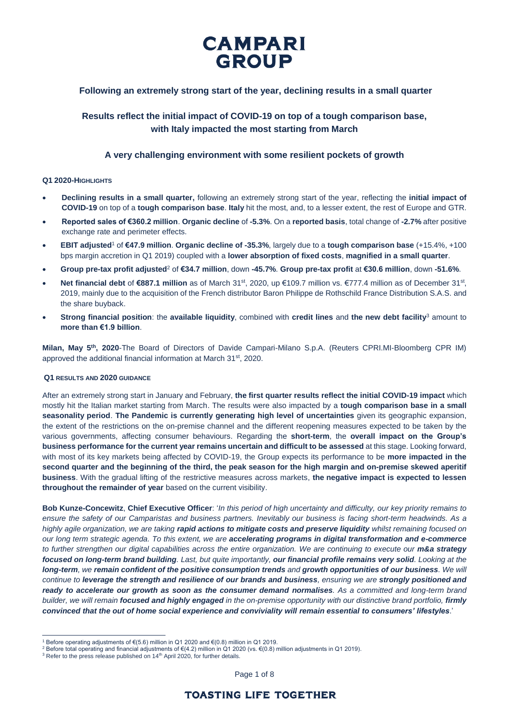

## **Following an extremely strong start of the year, declining results in a small quarter**

# **Results reflect the initial impact of COVID-19 on top of a tough comparison base, with Italy impacted the most starting from March**

## **A very challenging environment with some resilient pockets of growth**

## **Q1 2020-HIGHLIGHTS**

- **Declining results in a small quarter,** following an extremely strong start of the year, reflecting the **initial impact of COVID-19** on top of a **tough comparison base**. **Italy** hit the most, and, to a lesser extent, the rest of Europe and GTR.
- **Reported sales of €360.2 million**. **Organic decline** of **-5.3%**. On a **reported basis**, total change of **-2.7%** after positive exchange rate and perimeter effects.
- **EBIT adjusted**<sup>1</sup> of **€47.9 million**. **Organic decline of -35.3%**, largely due to a **tough comparison base** (+15.4%, +100 bps margin accretion in Q1 2019) coupled with a **lower absorption of fixed costs**, **magnified in a small quarter**.
- **Group pre-tax profit adjusted**<sup>2</sup> of **€34.7 million**, down **-45.7%**. **Group pre-tax profit** at **€30.6 million**, down **-51.6%**.
- Net financial debt of €887.1 million as of March 31<sup>st</sup>, 2020, up €109.7 million vs. €777.4 million as of December 31<sup>st</sup>, 2019, mainly due to the acquisition of the French distributor Baron Philippe de Rothschild France Distribution S.A.S. and the share buyback.
- **Strong financial position**: the **available liquidity**, combined with **credit lines** and **the new debt facility**<sup>3</sup> amount to **more than €1.9 billion**.

**Milan, May 5th, 2020**-The Board of Directors of Davide Campari-Milano S.p.A. (Reuters CPRI.MI-Bloomberg CPR IM) approved the additional financial information at March 31<sup>st</sup>, 2020.

## **Q1 RESULTS AND 2020 GUIDANCE**

After an extremely strong start in January and February, **the first quarter results reflect the initial COVID-19 impact** which mostly hit the Italian market starting from March. The results were also impacted by a **tough comparison base in a small seasonality period**. **The Pandemic is currently generating high level of uncertainties** given its geographic expansion, the extent of the restrictions on the on-premise channel and the different reopening measures expected to be taken by the various governments, affecting consumer behaviours. Regarding the **short-term**, the **overall impact on the Group's business performance for the current year remains uncertain and difficult to be assessed** at this stage. Looking forward, with most of its key markets being affected by COVID-19, the Group expects its performance to be **more impacted in the second quarter and the beginning of the third, the peak season for the high margin and on-premise skewed aperitif business**. With the gradual lifting of the restrictive measures across markets, **the negative impact is expected to lessen throughout the remainder of year** based on the current visibility.

**Bob Kunze-Concewitz**, **Chief Executive Officer**: '*In this period of high uncertainty and difficulty, our key priority remains to ensure the safety of our Camparistas and business partners. Inevitably our business is facing short-term headwinds. As a highly agile organization, we are taking rapid actions to mitigate costs and preserve liquidity whilst remaining focused on our long term strategic agenda. To this extent, we are accelerating programs in digital transformation and e-commerce to further strengthen our digital capabilities across the entire organization. We are continuing to execute our m&a strategy focused on long-term brand building. Last, but quite importantly, our financial profile remains very solid. Looking at the long-term, we remain confident of the positive consumption trends and growth opportunities of our business. We will continue to leverage the strength and resilience of our brands and business, ensuring we are strongly positioned and ready to accelerate our growth as soon as the consumer demand normalises. As a committed and long-term brand builder, we will remain focused and highly engaged in the on-premise opportunity with our distinctive brand portfolio, firmly convinced that the out of home social experience and conviviality will remain essential to consumers' lifestyles*.'

 $\overline{a}$ 

Page 1 of 8

<sup>1</sup> Before operating adjustments of €(5.6) million in Q1 2020 and €(0.8) million in Q1 2019.

<sup>&</sup>lt;sup>2</sup> Before total operating and financial adjustments of €(4.2) million in Q1 2020 (vs. €(0.8) million adjustments in Q1 2019).

<sup>&</sup>lt;sup>3</sup> Refer to the press release published on 14<sup>th</sup> April 2020, for further details.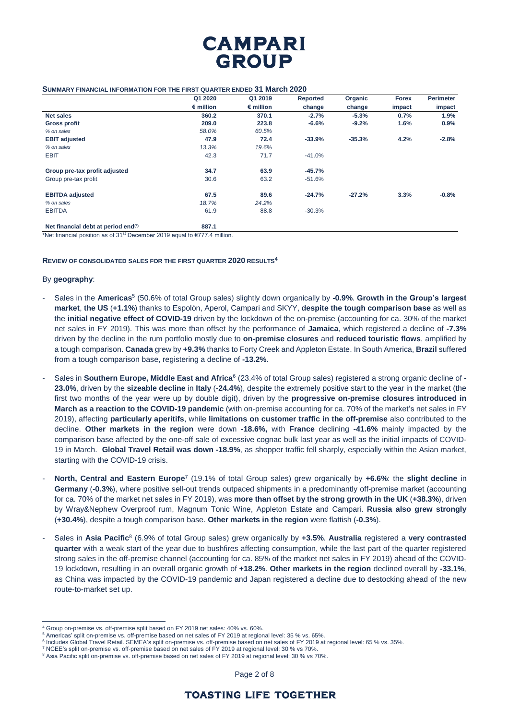

#### **SUMMARY FINANCIAL INFORMATION FOR THE FIRST QUARTER ENDED 31 March 2020**

|                               | Q1 2020            | Q1 2019            | Reported | Organic  | <b>Forex</b> | <b>Perimeter</b> |
|-------------------------------|--------------------|--------------------|----------|----------|--------------|------------------|
|                               | $\epsilon$ million | $\epsilon$ million | change   | change   | impact       | impact           |
| <b>Net sales</b>              | 360.2              | 370.1              | $-2.7%$  | $-5.3%$  | 0.7%         | 1.9%             |
| <b>Gross profit</b>           | 209.0              | 223.8              | $-6.6%$  | $-9.2%$  | 1.6%         | 0.9%             |
| % on sales                    | 58.0%              | 60.5%              |          |          |              |                  |
| <b>EBIT adjusted</b>          | 47.9               | 72.4               | $-33.9%$ | $-35.3%$ | 4.2%         | $-2.8%$          |
| % on sales                    | 13.3%              | 19.6%              |          |          |              |                  |
| <b>EBIT</b>                   | 42.3               | 71.7               | $-41.0%$ |          |              |                  |
| Group pre-tax profit adjusted | 34.7               | 63.9               | $-45.7%$ |          |              |                  |
| Group pre-tax profit          | 30.6               | 63.2               | $-51.6%$ |          |              |                  |
| <b>EBITDA</b> adjusted        | 67.5               | 89.6               | $-24.7%$ | $-27.2%$ | 3.3%         | $-0.8%$          |
| % on sales                    | 18.7%              | 24.2%              |          |          |              |                  |
| <b>EBITDA</b>                 | 61.9               | 88.8               | $-30.3%$ |          |              |                  |

**Net financial debt at period end(\*) 887.1**

\*Net financial position as of 31<sup>st</sup> December 2019 equal to  $E$ 777.4 million.

#### **REVIEW OF CONSOLIDATED SALES FOR THE FIRST QUARTER 2020 RESULTS<sup>4</sup>**

#### By **geography**:

 $\overline{a}$ 

- Sales in the **Americas**<sup>5</sup> (50.6% of total Group sales) slightly down organically by **-0.9%**. **Growth in the Group's largest market**, **the US** (**+1.1%**) thanks to Espolòn, Aperol, Campari and SKYY, **despite the tough comparison base** as well as the **initial negative effect of COVID-19** driven by the lockdown of the on-premise (accounting for ca. 30% of the market net sales in FY 2019). This was more than offset by the performance of **Jamaica**, which registered a decline of **-7.3%**  driven by the decline in the rum portfolio mostly due to **on-premise closures** and **reduced touristic flows**, amplified by a tough comparison. **Canada** grew by **+9.3%** thanks to Forty Creek and Appleton Estate. In South America, **Brazil** suffered from a tough comparison base, registering a decline of **-13.2%**.
- Sales in **Southern Europe, Middle East and Africa**<sup>6</sup> (23.4% of total Group sales) registered a strong organic decline of **- 23.0%**, driven by the **sizeable decline** in **Italy** (**-24.4%**), despite the extremely positive start to the year in the market (the first two months of the year were up by double digit), driven by the **progressive on-premise closures introduced in March as a reaction to the COVID-19 pandemic** (with on-premise accounting for ca. 70% of the market's net sales in FY 2019), affecting **particularly aperitifs**, while **limitations on customer traffic in the off-premise** also contributed to the decline. **Other markets in the region** were down **-18.6%,** with **France** declining **-41.6%** mainly impacted by the comparison base affected by the one-off sale of excessive cognac bulk last year as well as the initial impacts of COVID-19 in March. **Global Travel Retail was down -18.9%**, as shopper traffic fell sharply, especially within the Asian market, starting with the COVID-19 crisis.
- **North, Central and Eastern Europe**<sup>7</sup> (19.1% of total Group sales) grew organically by **+6.6%**: the **slight decline** in **Germany** (**-0.3%**), where positive sell-out trends outpaced shipments in a predominantly off-premise market (accounting for ca. 70% of the market net sales in FY 2019), was **more than offset by the strong growth in the UK** (**+38.3%**), driven by Wray&Nephew Overproof rum, Magnum Tonic Wine, Appleton Estate and Campari. **Russia also grew strongly**  (**+30.4%**), despite a tough comparison base. **Other markets in the region** were flattish (**-0.3%**).
- Sales in **Asia Pacific**<sup>8</sup> (6.9% of total Group sales) grew organically by **+3.5%**. **Australia** registered a **very contrasted quarter** with a weak start of the year due to bushfires affecting consumption, while the last part of the quarter registered strong sales in the off-premise channel (accounting for ca. 85% of the market net sales in FY 2019) ahead of the COVID-19 lockdown, resulting in an overall organic growth of **+18.2%**. **Other markets in the region** declined overall by **-33.1%**, as China was impacted by the COVID-19 pandemic and Japan registered a decline due to destocking ahead of the new route-to-market set up.

Group on-premise vs. off-premise split based on FY 2019 net sales: 40% vs. 60%.

<sup>5</sup> Americas' split on-premise vs. off-premise based on net sales of FY 2019 at regional level: 35 % vs. 65%.

<sup>&</sup>lt;sup>6</sup> Includes Global Travel Retail. SEMEA's split on-premise vs. off-premise based on net sales of FY 2019 at regional level: 65 % vs. 35%.

<sup>7</sup> NCEE's split on-premise vs. off-premise based on net sales of FY 2019 at regional level: 30 % vs 70%.

<sup>&</sup>lt;sup>8</sup> Asia Pacific split on-premise vs. off-premise based on net sales of FY 2019 at regional level: 30 % vs 70%.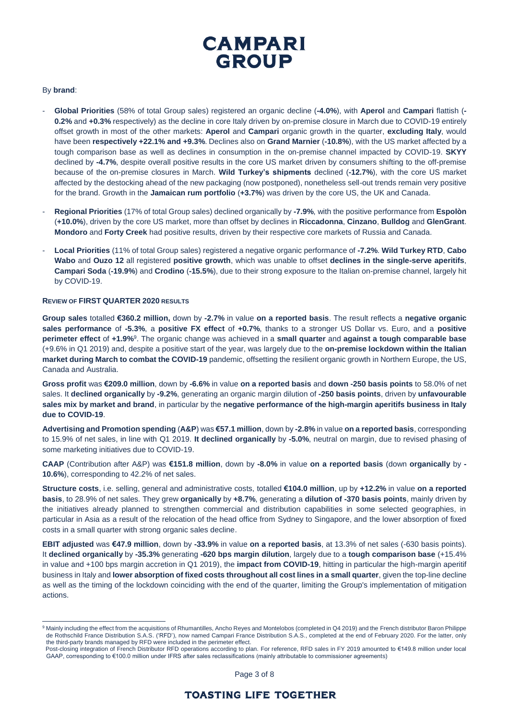

## By **brand**:

 $\overline{a}$ 

- **Global Priorities** (58% of total Group sales) registered an organic decline (**-4.0%**), with **Aperol** and **Campari** flattish (**- 0.2%** and **+0.3%** respectively) as the decline in core Italy driven by on-premise closure in March due to COVID-19 entirely offset growth in most of the other markets: **Aperol** and **Campari** organic growth in the quarter, **excluding Italy**, would have been **respectively +22.1% and +9.3%**. Declines also on **Grand Marnier** (**-10.8%**), with the US market affected by a tough comparison base as well as declines in consumption in the on-premise channel impacted by COVID-19. **SKYY** declined by **-4.7%**, despite overall positive results in the core US market driven by consumers shifting to the off-premise because of the on-premise closures in March. **Wild Turkey's shipments** declined (**-12.7%**), with the core US market affected by the destocking ahead of the new packaging (now postponed), nonetheless sell-out trends remain very positive for the brand. Growth in the **Jamaican rum portfolio** (**+3.7%**) was driven by the core US, the UK and Canada.
- **Regional Priorities** (17% of total Group sales) declined organically by **-7.9%**, with the positive performance from **Espolòn**  (**+10.0%**), driven by the core US market, more than offset by declines in **Riccadonna**, **Cinzano**, **Bulldog** and **GlenGrant**. **Mondoro** and **Forty Creek** had positive results, driven by their respective core markets of Russia and Canada.
- **Local Priorities** (11% of total Group sales) registered a negative organic performance of **-7.2%**. **Wild Turkey RTD**, **Cabo Wabo** and **Ouzo 12** all registered **positive growth**, which was unable to offset **declines in the single-serve aperitifs**, **Campari Soda** (**-19.9%**) and **Crodino** (**-15.5%**), due to their strong exposure to the Italian on-premise channel, largely hit by COVID-19.

## **REVIEW OF FIRST QUARTER 2020 RESULTS**

**Group sales** totalled **€360.2 million,** down by **-2.7%** in value **on a reported basis**. The result reflects a **negative organic sales performance** of **-5.3%**, a **positive FX effect** of **+0.7%**, thanks to a stronger US Dollar vs. Euro, and a **positive perimeter effect** of **+1.9%**<sup>9</sup> . The organic change was achieved in a **small quarter** and **against a tough comparable base**  (+9.6% in Q1 2019) and, despite a positive start of the year, was largely due to the **on-premise lockdown within the Italian market during March to combat the COVID-19** pandemic, offsetting the resilient organic growth in Northern Europe, the US, Canada and Australia.

**Gross profit** was **€209.0 million**, down by **-6.6%** in value **on a reported basis** and **down -250 basis points** to 58.0% of net sales. It **declined organically** by **-9.2%**, generating an organic margin dilution of **-250 basis points**, driven by **unfavourable sales mix by market and brand**, in particular by the **negative performance of the high-margin aperitifs business in Italy due to COVID-19**.

**Advertising and Promotion spending** (**A&P**) was **€57.1 million**, down by **-2.8%** in value **on a reported basis**, corresponding to 15.9% of net sales, in line with Q1 2019. **It declined organically** by **-5.0%**, neutral on margin, due to revised phasing of some marketing initiatives due to COVID-19.

**CAAP** (Contribution after A&P) was **€151.8 million**, down by **-8.0%** in value **on a reported basis** (down **organically** by **- 10.6%**), corresponding to 42.2% of net sales.

**Structure costs**, i.e. selling, general and administrative costs, totalled **€104.0 million**, up by **+12.2%** in value **on a reported basis**, to 28.9% of net sales. They grew **organically** by **+8.7%**, generating a **dilution of -370 basis points**, mainly driven by the initiatives already planned to strengthen commercial and distribution capabilities in some selected geographies, in particular in Asia as a result of the relocation of the head office from Sydney to Singapore, and the lower absorption of fixed costs in a small quarter with strong organic sales decline.

**EBIT adjusted** was **€47.9 million**, down by **-33.9%** in value **on a reported basis**, at 13.3% of net sales (-630 basis points). It **declined organically** by **-35.3%** generating **-620 bps margin dilution**, largely due to a **tough comparison base** (+15.4% in value and +100 bps margin accretion in Q1 2019), the **impact from COVID-19**, hitting in particular the high-margin aperitif business in Italy and **lower absorption of fixed costs throughout all cost lines in a small quarter**, given the top-line decline as well as the timing of the lockdown coinciding with the end of the quarter, limiting the Group's implementation of mitigation actions.

Page 3 of 8

<sup>&</sup>lt;sup>9</sup> Mainly including the effect from the acquisitions of Rhumantilles, Ancho Reyes and Montelobos (completed in Q4 2019) and the French distributor Baron Philippe de Rothschild France Distribution S.A.S. ('RFD'), now named Campari France Distribution S.A.S., completed at the end of February 2020. For the latter, only the third-party brands managed by RFD were included in the perimeter effect.

Post-closing integration of French Distributor RFD operations according to plan. For reference, RFD sales in FY 2019 amounted to €149.8 million under local GAAP, corresponding to €100.0 million under IFRS after sales reclassifications (mainly attributable to commissioner agreements)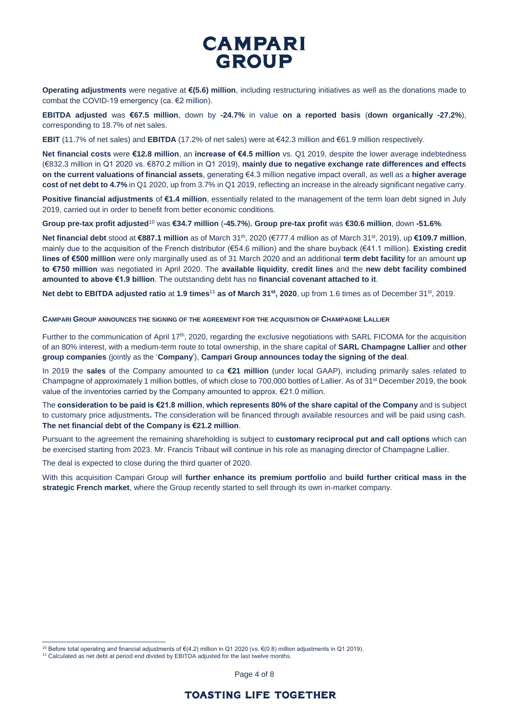# **CAMPARI GROUP**

**Operating adjustments** were negative at **€(5.6) million**, including restructuring initiatives as well as the donations made to combat the COVID-19 emergency (ca. €2 million).

**EBITDA adjusted** was **€67.5 million**, down by **-24.7%** in value **on a reported basis** (**down organically -27.2%**), corresponding to 18.7% of net sales.

**EBIT** (11.7% of net sales) and **EBITDA** (17.2% of net sales) were at €42.3 million and €61.9 million respectively.

**Net financial costs** were **€12.8 million**, an **increase of €4.5 million** vs. Q1 2019, despite the lower average indebtedness (€832.3 million in Q1 2020 vs. €870.2 million in Q1 2019), **mainly due to negative exchange rate differences and effects on the current valuations of financial assets**, generating €4.3 million negative impact overall, as well as a **higher average cost of net debt to 4.7%** in Q1 2020, up from 3.7% in Q1 2019, reflecting an increase in the already significant negative carry.

**Positive financial adjustments** of **€1.4 million**, essentially related to the management of the term loan debt signed in July 2019, carried out in order to benefit from better economic conditions.

**Group pre-tax profit adjusted**<sup>10</sup> was **€34.7 million** (**-45.7%**)**. Group pre-tax profit** was **€30.6 million**, down **-51.6%**.

**Net financial debt** stood at €887.1 million as of March 31<sup>th</sup>, 2020 (€777.4 million as of March 31<sup>st</sup>, 2019), up €109.7 million, mainly due to the acquisition of the French distributor (€54.6 million) and the share buyback (€41.1 million). **Existing credit lines of €500 million** were only marginally used as of 31 March 2020 and an additional **term debt facility** for an amount **up to €750 million** was negotiated in April 2020. The **available liquidity**, **credit lines** and the **new debt facility combined amounted to above €1.9 billion**. The outstanding debt has no **financial covenant attached to it**.

**Net debt to EBITDA adjusted ratio** at **1.9 times**<sup>11</sup> **as of March 31st , 2020**, up from 1.6 times as of December 31st , 2019.

**CAMPARI GROUP ANNOUNCES THE SIGNING OF THE AGREEMENT FOR THE ACQUISITION OF CHAMPAGNE LALLIER**

Further to the communication of April 17th, 2020, regarding the exclusive negotiations with SARL FICOMA for the acquisition of an 80% interest, with a medium-term route to total ownership, in the share capital of **SARL Champagne Lallier** and **other group companies** (jointly as the '**Company**'), **Campari Group announces today the signing of the deal**.

In 2019 the **sales** of the Company amounted to ca **€21 million** (under local GAAP), including primarily sales related to Champagne of approximately 1 million bottles, of which close to 700,000 bottles of Lallier. As of 31<sup>st</sup> December 2019, the book value of the inventories carried by the Company amounted to approx. €21.0 million.

The **consideration to be paid is €21.8 million**, **which represents 80% of the share capital of the Company** and is subject to customary price adjustments**.** The consideration will be financed through available resources and will be paid using cash. **The net financial debt of the Company is €21.2 million**.

Pursuant to the agreement the remaining shareholding is subject to **customary reciprocal put and call options** which can be exercised starting from 2023. Mr. Francis Tribaut will continue in his role as managing director of Champagne Lallier.

The deal is expected to close during the third quarter of 2020.

With this acquisition Campari Group will **further enhance its premium portfolio** and **build further critical mass in the strategic French market**, where the Group recently started to sell through its own in-market company.

 $\overline{a}$ 

<sup>10</sup> Before total operating and financial adjustments of €(4.2) million in Q1 2020 (vs. €(0.8) million adjustments in Q1 2019).

<sup>&</sup>lt;sup>11</sup> Calculated as net debt at period end divided by EBITDA adjusted for the last twelve months.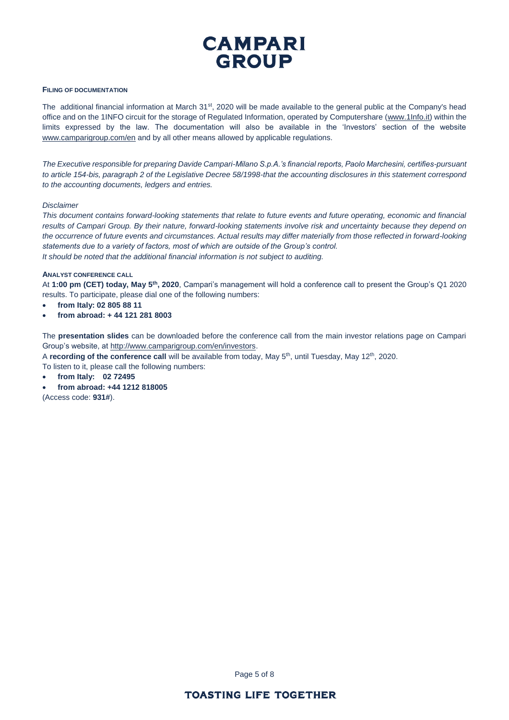

## **FILING OF DOCUMENTATION**

The additional financial information at March 31<sup>st</sup>, 2020 will be made available to the general public at the Company's head office and on the 1INFO circuit for the storage of Regulated Information, operated by Computershare [\(www.1Info.it\)](http://www.1info.it/) within the limits expressed by the law. The documentation will also be available in the 'Investors' section of the website [www.camparigroup.com/en](http://www.camparigroup.com/en) and by all other means allowed by applicable regulations.

*The Executive responsible for preparing Davide Campari-Milano S.p.A.'s financial reports, Paolo Marchesini, certifies-pursuant to article 154-bis, paragraph 2 of the Legislative Decree 58/1998-that the accounting disclosures in this statement correspond to the accounting documents, ledgers and entries.* 

### *Disclaimer*

*This document contains forward-looking statements that relate to future events and future operating, economic and financial results of Campari Group. By their nature, forward-looking statements involve risk and uncertainty because they depend on the occurrence of future events and circumstances. Actual results may differ materially from those reflected in forward-looking statements due to a variety of factors, most of which are outside of the Group's control. It should be noted that the additional financial information is not subject to auditing.*

### **ANALYST CONFERENCE CALL**

At **1:00 pm (CET) today, May 5th, 2020**, Campari's management will hold a conference call to present the Group's Q1 2020 results. To participate, please dial one of the following numbers:

- **from Italy: 02 805 88 11**
- **from abroad: + 44 121 281 8003**

The **presentation slides** can be downloaded before the conference call from the main investor relations page on Campari Group's website, at [http://www.camparigroup.com/en/investors.](http://www.camparigroup.com/en/investors)

A recording of the conference call will be available from today, May 5<sup>th</sup>, until Tuesday, May 12<sup>th</sup>, 2020. To listen to it, please call the following numbers:

• **from Italy: 02 72495**

• **from abroad: +44 1212 818005** (Access code: **931#**).

Page 5 of 8

# **TOASTING LIFE TOGETHER**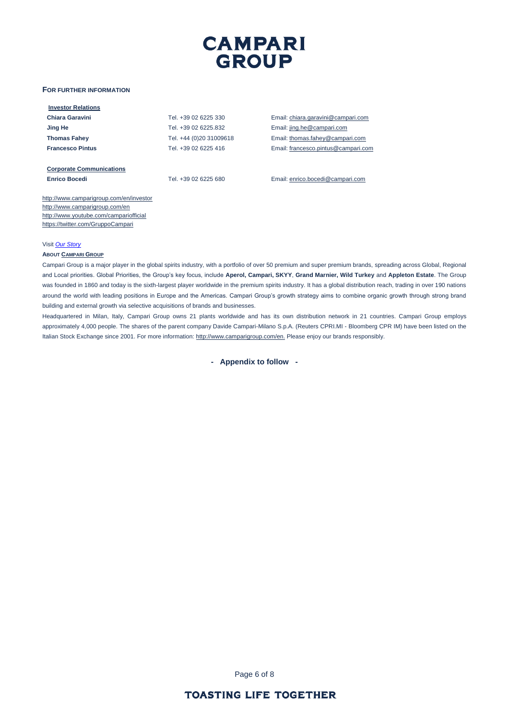

### **FOR FURTHER INFORMATION**

| <b>Investor Relations</b>               |                         |                                     |
|-----------------------------------------|-------------------------|-------------------------------------|
| Chiara Garavini                         | Tel. +39 02 6225 330    | Email: chiara.garavini@campari.com  |
| Jing He                                 | Tel. +39 02 6225.832    | Email: jing.he@campari.com          |
| <b>Thomas Fahey</b>                     | Tel. +44 (0)20 31009618 | Email: thomas.fahey@campari.com     |
| <b>Francesco Pintus</b>                 | Tel. +39 02 6225 416    | Email: francesco.pintus@campari.com |
| <b>Corporate Communications</b>         |                         |                                     |
| <b>Enrico Bocedi</b>                    | Tel. +39 02 6225 680    | Email: enrico.bocedi@campari.com    |
| http://www.camparigroup.com/en/investor |                         |                                     |
| http://www.camparigroup.com/en          |                         |                                     |
| http://www.youtube.com/campariofficial  |                         |                                     |
| https://twitter.com/GruppoCampari       |                         |                                     |

#### Visit *[Our Story](https://youtu.be/ilNVsU9Cigo)*

#### **ABOUT C[AMPARI](http://www.camparigroup.com/en/index.shtml) GROUP**

Campari Group is a major player in the global spirits industry, with a portfolio of over 50 premium and super premium brands, spreading across Global, Regional and Local priorities. Global Priorities, the Group's key focus, include **Aperol, Campari, SKYY**, **Grand Marnier, Wild Turkey** and **Appleton Estate**. The Group was founded in 1860 and today is the sixth-largest player worldwide in the premium spirits industry. It has a global distribution reach, trading in over 190 nations around the world with leading positions in Europe and the Americas. Campari Group's growth strategy aims to combine organic growth through strong brand building and external growth via selective acquisitions of brands and businesses.

Headquartered in Milan, Italy, Campari Group owns 21 plants worldwide and has its own distribution network in 21 countries. Campari Group employs approximately 4,000 people. The shares of the parent company Davide Campari-Milano S.p.A. (Reuters CPRI.MI - Bloomberg CPR IM) have been listed on the Italian Stock Exchange since 2001. For more information[: http://www.camparigroup.com/en.](http://www.camparigroup.com/en) Please enjoy our brands responsibly.

**- Appendix to follow -**

Page 6 of 8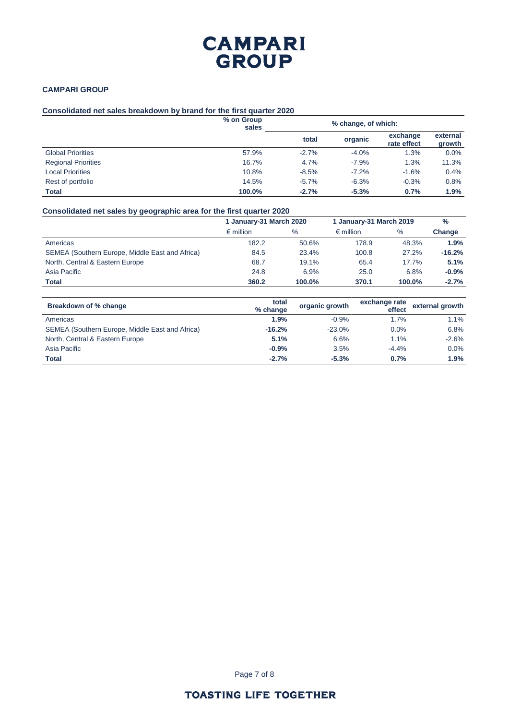# **CAMPARI GROUP**

## **CAMPARI GROUP**

## **Consolidated net sales breakdown by brand for the first quarter 2020**

|                            | % on Group<br>sales | % change, of which: |         |                         |                    |  |
|----------------------------|---------------------|---------------------|---------|-------------------------|--------------------|--|
|                            |                     | total               | organic | exchange<br>rate effect | external<br>growth |  |
| <b>Global Priorities</b>   | 57.9%               | $-2.7%$             | $-4.0%$ | 1.3%                    | 0.0%               |  |
| <b>Regional Priorities</b> | 16.7%               | 4.7%                | $-7.9%$ | 1.3%                    | 11.3%              |  |
| <b>Local Priorities</b>    | 10.8%               | $-8.5%$             | $-7.2%$ | $-1.6%$                 | 0.4%               |  |
| Rest of portfolio          | 14.5%               | $-5.7\%$            | $-6.3%$ | $-0.3%$                 | 0.8%               |  |
| <b>Total</b>               | 100.0%              | $-2.7%$             | $-5.3%$ | 0.7%                    | 1.9%               |  |

# **Consolidated net sales by geographic area for the first quarter 2020**

|                                                 | 1 January-31 March 2020 |        | 1 January-31 March 2019 |        | $\frac{0}{0}$ |
|-------------------------------------------------|-------------------------|--------|-------------------------|--------|---------------|
|                                                 | $\epsilon$ million      | $\%$   | $\epsilon$ million      | $\%$   | Change        |
| Americas                                        | 182.2                   | 50.6%  | 178.9                   | 48.3%  | 1.9%          |
| SEMEA (Southern Europe, Middle East and Africa) | 84.5                    | 23.4%  | 100.8                   | 27.2%  | $-16.2%$      |
| North, Central & Eastern Europe                 | 68.7                    | 19.1%  | 65.4                    | 17.7%  | 5.1%          |
| Asia Pacific                                    | 24.8                    | 6.9%   | 25.0                    | 6.8%   | $-0.9%$       |
| <b>Total</b>                                    | 360.2                   | 100.0% | 370.1                   | 100.0% | $-2.7%$       |

| Breakdown of % change                           | total<br>% change | organic growth | exchange rate<br>effect | external growth |
|-------------------------------------------------|-------------------|----------------|-------------------------|-----------------|
| Americas                                        | 1.9%              | $-0.9%$        | 1.7%                    | 1.1%            |
| SEMEA (Southern Europe, Middle East and Africa) | $-16.2%$          | $-23.0%$       | 0.0%                    | 6.8%            |
| North, Central & Eastern Europe                 | 5.1%              | 6.6%           | 1.1%                    | $-2.6%$         |
| Asia Pacific                                    | $-0.9%$           | 3.5%           | $-4.4%$                 | 0.0%            |
| <b>Total</b>                                    | $-2.7%$           | $-5.3%$        | 0.7%                    | 1.9%            |

Page 7 of 8

# **TOASTING LIFE TOGETHER**